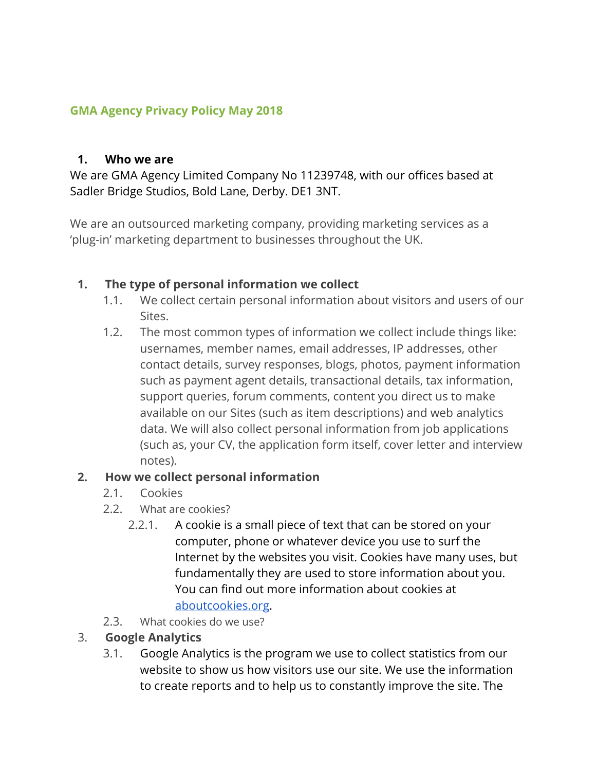### **GMA Agency Privacy Policy May 2018**

#### **1. Who we are**

We are GMA Agency Limited Company No 11239748, with our offices based at Sadler Bridge Studios, Bold Lane, Derby. DE1 3NT.

We are an outsourced marketing company, providing marketing services as a 'plug-in' marketing department to businesses throughout the UK.

### **1. The type of personal information we collect**

- 1.1. We collect certain personal information about visitors and users of our Sites.
- 1.2. The most common types of information we collect include things like: usernames, member names, email addresses, IP addresses, other contact details, survey responses, blogs, photos, payment information such as payment agent details, transactional details, tax information, support queries, forum comments, content you direct us to make available on our Sites (such as item descriptions) and web analytics data. We will also collect personal information from job applications (such as, your CV, the application form itself, cover letter and interview notes).

### **2. How we collect personal information**

- 2.1. Cookies
- 2.2. What are cookies?
	- 2.2.1. A cookie is a small piece of text that can be stored on your computer, phone or whatever device you use to surf the Internet by the websites you visit. Cookies have many uses, but fundamentally they are used to store information about you. You can find out more information about cookies at [aboutcookies.org.](http://www.aboutcookies.org/)
- 2.3. What cookies do we use?

### 3. **Google Analytics**

3.1. Google Analytics is the program we use to collect statistics from our website to show us how visitors use our site. We use the information to create reports and to help us to constantly improve the site. The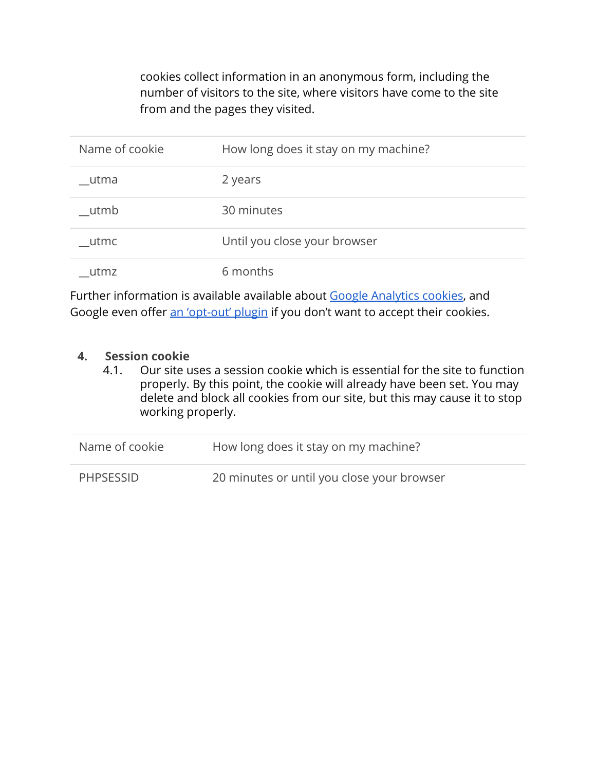cookies collect information in an anonymous form, including the number of visitors to the site, where visitors have come to the site from and the pages they visited.

| Name of cookie | How long does it stay on my machine? |
|----------------|--------------------------------------|
|                |                                      |
| utma           | 2 years                              |
| utmb           | 30 minutes                           |
| utmc           | Until you close your browser         |
| utmz           | 6 months                             |

Further information is available available about [Google Analytics cookies](https://developers.google.com/analytics/resources/concepts/gaConceptsCookies), and Google even offer [an 'opt-out' plugin](https://tools.google.com/dlpage/gaoptout) if you don't want to accept their cookies.

#### **4. Session cookie**

4.1. Our site uses a session cookie which is essential for the site to function properly. By this point, the cookie will already have been set. You may delete and block all cookies from our site, but this may cause it to stop working properly.

| Name of cookie   | How long does it stay on my machine?       |
|------------------|--------------------------------------------|
| <b>PHPSESSID</b> | 20 minutes or until you close your browser |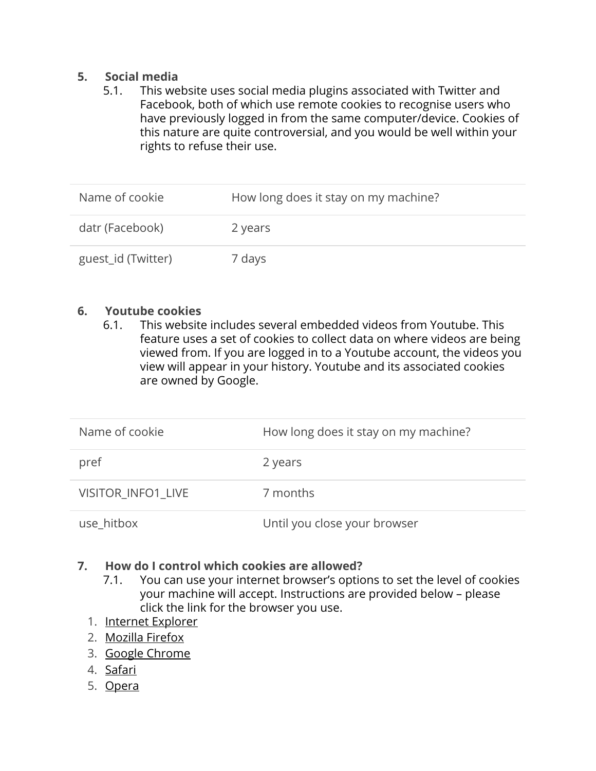#### **5. Social media**

5.1. This website uses social media plugins associated with Twitter and Facebook, both of which use remote cookies to recognise users who have previously logged in from the same computer/device. Cookies of this nature are quite controversial, and you would be well within your rights to refuse their use.

| Name of cookie     | How long does it stay on my machine? |
|--------------------|--------------------------------------|
| datr (Facebook)    | 2 years                              |
| guest_id (Twitter) | 7 days                               |

#### **6. Youtube cookies**

6.1. This website includes several embedded videos from Youtube. This feature uses a set of cookies to collect data on where videos are being viewed from. If you are logged in to a Youtube account, the videos you view will appear in your history. Youtube and its associated cookies are owned by Google.

| Name of cookie     | How long does it stay on my machine? |
|--------------------|--------------------------------------|
| pref               | 2 years                              |
| VISITOR INFO1 LIVE | 7 months                             |
| use hitbox         | Until you close your browser         |

#### **7. How do I control which cookies are allowed?**

- 7.1. You can use your internet browser's options to set the level of cookies your machine will accept. Instructions are provided below – please click the link for the browser you use.
- 1. [Internet Explorer](http://support.microsoft.com/kb/196955)
- 2. [Mozilla Firefox](http://support.mozilla.org/en-US/kb/Cookies)
- 3. [Google Chrome](https://support.google.com/chrome/bin/answer.py?hl=en-GB&answer=95647&p=cpn_cookies)
- 4. [Safari](http://support.apple.com/kb/HT1677)
- 5. [Opera](http://www.opera.com/browser/tutorials/security/privacy/)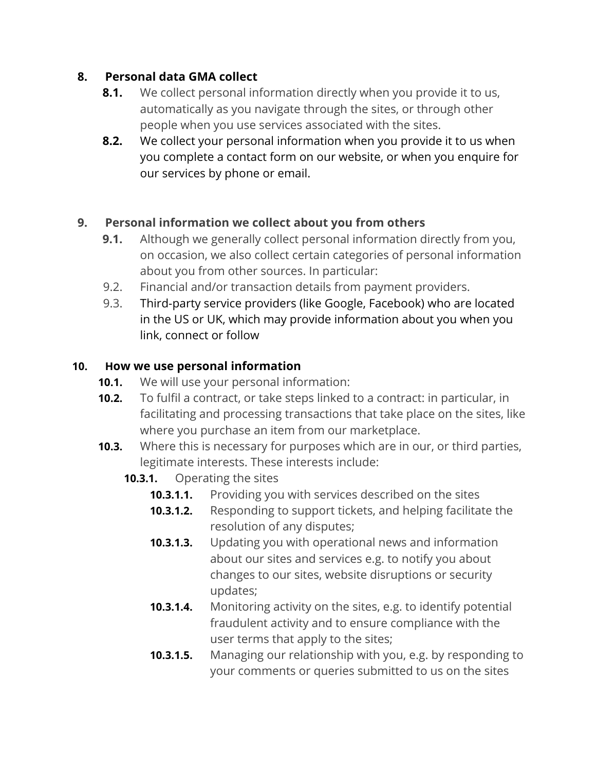## **8. Personal data GMA collect**

- **8.1.** We collect personal information directly when you provide it to us, automatically as you navigate through the sites, or through other people when you use services associated with the sites.
- **8.2.** We collect your personal information when you provide it to us when you complete a contact form on our website, or when you enquire for our services by phone or email.

## **9. Personal information we collect about you from others**

- **9.1.** Although we generally collect personal information directly from you, on occasion, we also collect certain categories of personal information about you from other sources. In particular:
- 9.2. Financial and/or transaction details from payment providers.
- 9.3. Third-party service providers (like Google, Facebook) who are located in the US or UK, which may provide information about you when you link, connect or follow

## **10. How we use personal information**

- **10.1.** We will use your personal information:
- **10.2.** To fulfil a contract, or take steps linked to a contract: in particular, in facilitating and processing transactions that take place on the sites, like where you purchase an item from our marketplace.
- **10.3.** Where this is necessary for purposes which are in our, or third parties, legitimate interests. These interests include:

## **10.3.1.** Operating the sites

- **10.3.1.1.** Providing you with services described on the sites
- **10.3.1.2.** Responding to support tickets, and helping facilitate the resolution of any disputes;
- **10.3.1.3.** Updating you with operational news and information about our sites and services e.g. to notify you about changes to our sites, website disruptions or security updates;
- **10.3.1.4.** Monitoring activity on the sites, e.g. to identify potential fraudulent activity and to ensure compliance with the user terms that apply to the sites;
- **10.3.1.5.** Managing our relationship with you, e.g. by responding to your comments or queries submitted to us on the sites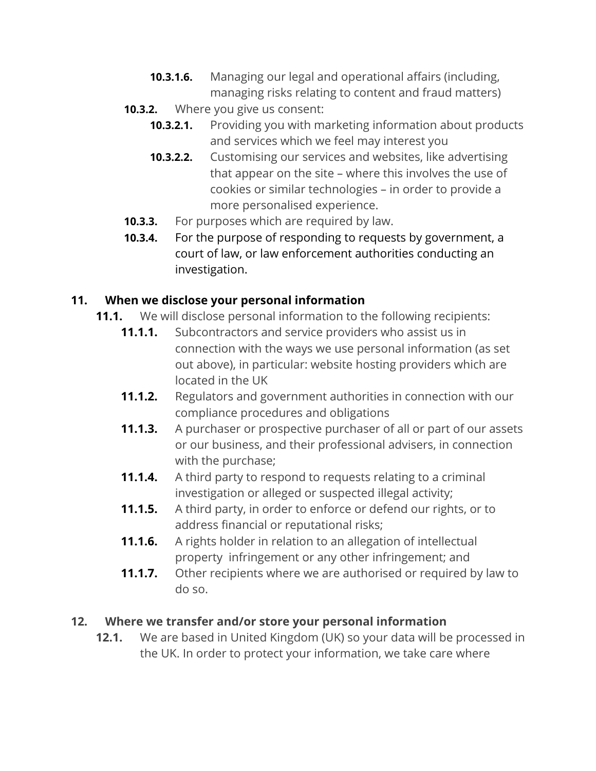- **10.3.1.6.** Managing our legal and operational affairs (including, managing risks relating to content and fraud matters)
- **10.3.2.** Where you give us consent:
	- **10.3.2.1.** Providing you with marketing information about products and services which we feel may interest you
	- **10.3.2.2.** Customising our services and websites, like advertising that appear on the site – where this involves the use of cookies or similar technologies – in order to provide a more personalised experience.
- **10.3.3.** For purposes which are required by law.
- **10.3.4.** For the purpose of responding to requests by government, a court of law, or law enforcement authorities conducting an investigation.

# **11. When we disclose your personal information**

- **11.1.** We will disclose personal information to the following recipients:
	- **11.1.1.** Subcontractors and service providers who assist us in connection with the ways we use personal information (as set out above), in particular: website hosting providers which are located in the UK
	- **11.1.2.** Regulators and government authorities in connection with our compliance procedures and obligations
	- **11.1.3.** A purchaser or prospective purchaser of all or part of our assets or our business, and their professional advisers, in connection with the purchase;
	- **11.1.4.** A third party to respond to requests relating to a criminal investigation or alleged or suspected illegal activity;
	- **11.1.5.** A third party, in order to enforce or defend our rights, or to address financial or reputational risks;
	- **11.1.6.** A rights holder in relation to an allegation of intellectual property infringement or any other infringement; and
	- **11.1.7.** Other recipients where we are authorised or required by law to do so.

# **12. Where we transfer and/or store your personal information**

**12.1.** We are based in United Kingdom (UK) so your data will be processed in the UK. In order to protect your information, we take care where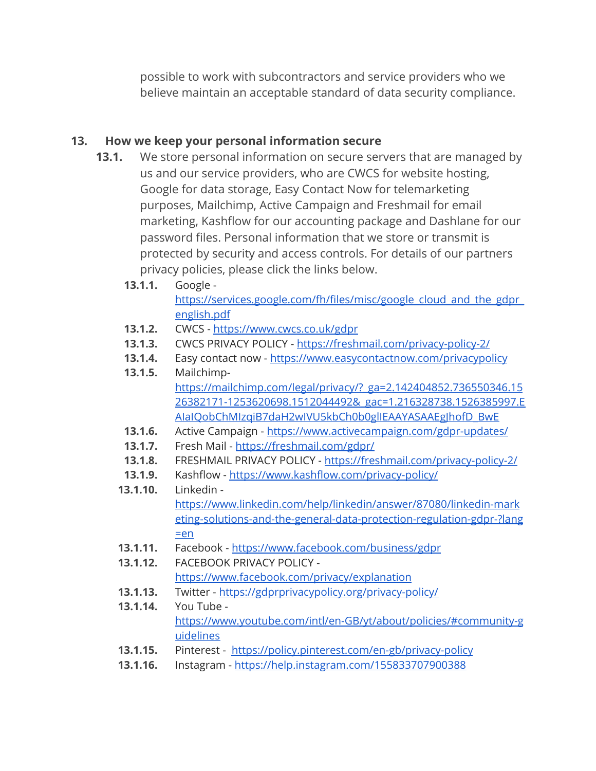possible to work with subcontractors and service providers who we believe maintain an acceptable standard of data security compliance.

## **13. How we keep your personal information secure**

- **13.1.** We store personal information on secure servers that are managed by us and our service providers, who are CWCS for website hosting, Google for data storage, Easy Contact Now for telemarketing purposes, Mailchimp, Active Campaign and Freshmail for email marketing, Kashflow for our accounting package and Dashlane for our password files. Personal information that we store or transmit is protected by security and access controls. For details of our partners privacy policies, please click the links below.
	- **13.1.1.** Google [https://services.google.com/fh/files/misc/google\\_cloud\\_and\\_the\\_gdpr\\_](https://services.google.com/fh/files/misc/google_cloud_and_the_gdpr_english.pdf) [english.pdf](https://services.google.com/fh/files/misc/google_cloud_and_the_gdpr_english.pdf)
	- **13.1.2.** CWCS <https://www.cwcs.co.uk/gdpr>
	- **13.1.3.** CWCS PRIVACY POLICY <https://freshmail.com/privacy-policy-2/>
	- 13.1.4. Easy contact now <https://www.easycontactnow.com/privacypolicy>
	- **13.1.5.** Mailchimp[https://mailchimp.com/legal/privacy/?\\_ga=2.142404852.736550346.15](https://mailchimp.com/legal/privacy/?_ga=2.142404852.736550346.1526382171-1253620698.1512044492&_gac=1.216328738.1526385997.EAIaIQobChMIzqiB7daH2wIVU5kbCh0b0glIEAAYASAAEgJhofD_BwE) [26382171-1253620698.1512044492&\\_gac=1.216328738.1526385997.E](https://mailchimp.com/legal/privacy/?_ga=2.142404852.736550346.1526382171-1253620698.1512044492&_gac=1.216328738.1526385997.EAIaIQobChMIzqiB7daH2wIVU5kbCh0b0glIEAAYASAAEgJhofD_BwE) [AIaIQobChMIzqiB7daH2wIVU5kbCh0b0glIEAAYASAAEgJhofD\\_BwE](https://mailchimp.com/legal/privacy/?_ga=2.142404852.736550346.1526382171-1253620698.1512044492&_gac=1.216328738.1526385997.EAIaIQobChMIzqiB7daH2wIVU5kbCh0b0glIEAAYASAAEgJhofD_BwE)
	- **13.1.6.** Active Campaign <https://www.activecampaign.com/gdpr-updates/>
	- **13.1.7.** Fresh Mail <https://freshmail.com/gdpr/>
	- **13.1.8.** FRESHMAIL PRIVACY POLICY <https://freshmail.com/privacy-policy-2/>
	- **13.1.9.** Kashflow <https://www.kashflow.com/privacy-policy/>
	- **13.1.10.** Linkedin [https://www.linkedin.com/help/linkedin/answer/87080/linkedin-mark](https://www.linkedin.com/help/linkedin/answer/87080/linkedin-marketing-solutions-and-the-general-data-protection-regulation-gdpr-?lang=en) [eting-solutions-and-the-general-data-protection-regulation-gdpr-?lang](https://www.linkedin.com/help/linkedin/answer/87080/linkedin-marketing-solutions-and-the-general-data-protection-regulation-gdpr-?lang=en)  $=en$
	- **13.1.11.** Facebook <https://www.facebook.com/business/gdpr>
	- **13.1.12.** FACEBOOK PRIVACY POLICY <https://www.facebook.com/privacy/explanation>
	- **13.1.13.** Twitter <https://gdprprivacypolicy.org/privacy-policy/>
	- **13.1.14.** You Tube [https://www.youtube.com/intl/en-GB/yt/about/policies/#community-g](https://www.youtube.com/intl/en-GB/yt/about/policies/#community-guidelines) [uidelines](https://www.youtube.com/intl/en-GB/yt/about/policies/#community-guidelines)
	- **13.1.15.** Pinterest <https://policy.pinterest.com/en-gb/privacy-policy>
	- **13.1.16.** Instagram <https://help.instagram.com/155833707900388>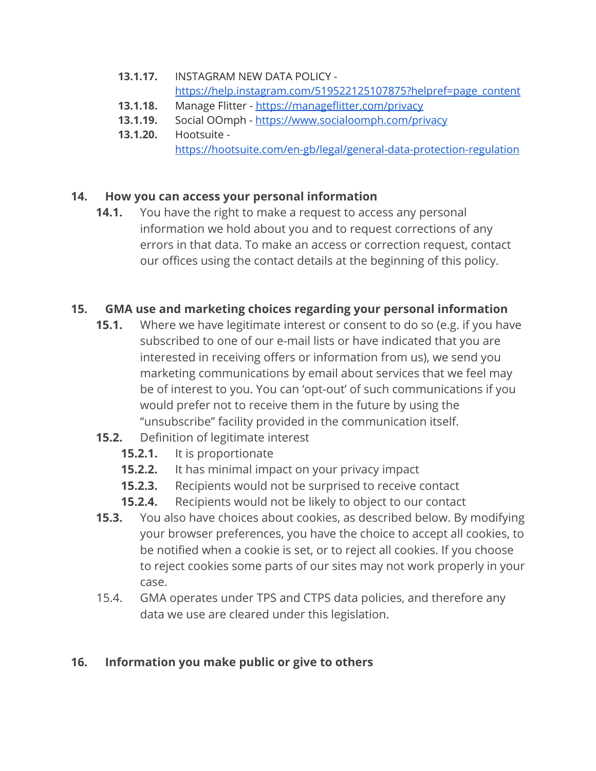- **13.1.17.** INSTAGRAM NEW DATA POLICY [https://help.instagram.com/519522125107875?helpref=page\\_content](https://help.instagram.com/519522125107875?helpref=page_content)
- **13.1.18.** Manage Flitter <https://manageflitter.com/privacy>
- **13.1.19.** Social OOmph <https://www.socialoomph.com/privacy>
- **13.1.20.** Hootsuite <https://hootsuite.com/en-gb/legal/general-data-protection-regulation>

# **14. How you can access your personal information**

**14.1.** You have the right to make a request to access any personal information we hold about you and to request corrections of any errors in that data. To make an access or correction request, contact our offices using the contact details at the beginning of this policy.

# **15. GMA use and marketing choices regarding your personal information**

- **15.1.** Where we have legitimate interest or consent to do so (e.g. if you have subscribed to one of our e-mail lists or have indicated that you are interested in receiving offers or information from us), we send you marketing communications by email about services that we feel may be of interest to you. You can 'opt-out' of such communications if you would prefer not to receive them in the future by using the "unsubscribe" facility provided in the communication itself.
- **15.2.** Definition of legitimate interest
	- **15.2.1.** It is proportionate
	- **15.2.2.** It has minimal impact on your privacy impact
	- **15.2.3.** Recipients would not be surprised to receive contact
	- **15.2.4.** Recipients would not be likely to object to our contact
- **15.3.** You also have choices about cookies, as described below. By modifying your browser preferences, you have the choice to accept all cookies, to be notified when a cookie is set, or to reject all cookies. If you choose to reject cookies some parts of our sites may not work properly in your case.
- 15.4. GMA operates under TPS and CTPS data policies, and therefore any data we use are cleared under this legislation.

# **16. Information you make public or give to others**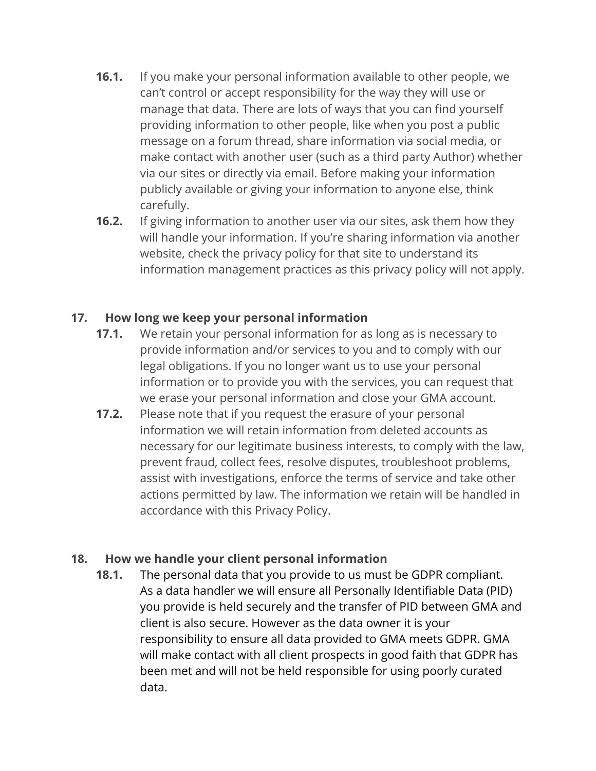- **16.1.** If you make your personal information available to other people, we can't control or accept responsibility for the way they will use or manage that data. There are lots of ways that you can find yourself providing information to other people, like when you post a public message on a forum thread, share information via social media, or make contact with another user (such as a third party Author) whether via our sites or directly via email. Before making your information publicly available or giving your information to anyone else, think carefully.
- **16.2.** If giving information to another user via our sites, ask them how they will handle your information. If you're sharing information via another website, check the privacy policy for that site to understand its information management practices as this privacy policy will not apply.

## **17. How long we keep your personal information**

- **17.1.** We retain your personal information for as long as is necessary to provide information and/or services to you and to comply with our legal obligations. If you no longer want us to use your personal information or to provide you with the services, you can request that we erase your personal information and close your GMA account.
- **17.2.** Please note that if you request the erasure of your personal information we will retain information from deleted accounts as necessary for our legitimate business interests, to comply with the law, prevent fraud, collect fees, resolve disputes, troubleshoot problems, assist with investigations, enforce the terms of service and take other actions permitted by law. The information we retain will be handled in accordance with this Privacy Policy.

### **18. How we handle your client personal information**

**18.1.** The personal data that you provide to us must be GDPR compliant. As a data handler we will ensure all Personally Identifiable Data (PID) you provide is held securely and the transfer of PID between GMA and client is also secure. However as the data owner it is your responsibility to ensure all data provided to GMA meets GDPR. GMA will make contact with all client prospects in good faith that GDPR has been met and will not be held responsible for using poorly curated data.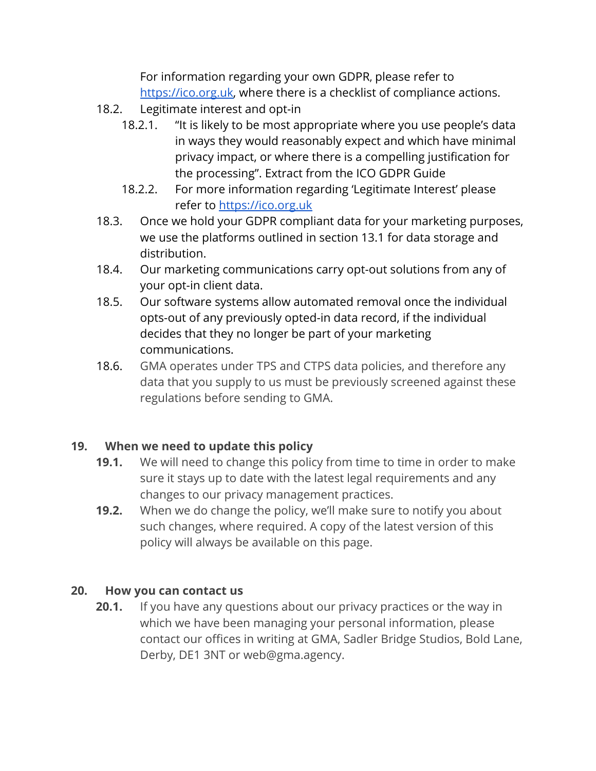For information regarding your own GDPR, please refer to [https://ico.org.uk,](https://ico.org.uk/) where there is a checklist of compliance actions.

- 18.2. Legitimate interest and opt-in
	- 18.2.1. "It is likely to be most appropriate where you use people's data in ways they would reasonably expect and which have minimal privacy impact, or where there is a compelling justification for the processing". Extract from the ICO GDPR Guide
	- 18.2.2. For more information regarding 'Legitimate Interest' please refer to [https://ico.org.uk](https://ico.org.uk/)
- 18.3. Once we hold your GDPR compliant data for your marketing purposes, we use the platforms outlined in section 13.1 for data storage and distribution.
- 18.4. Our marketing communications carry opt-out solutions from any of your opt-in client data.
- 18.5. Our software systems allow automated removal once the individual opts-out of any previously opted-in data record, if the individual decides that they no longer be part of your marketing communications.
- 18.6. GMA operates under TPS and CTPS data policies, and therefore any data that you supply to us must be previously screened against these regulations before sending to GMA.

# **19. When we need to update this policy**

- **19.1.** We will need to change this policy from time to time in order to make sure it stays up to date with the latest legal requirements and any changes to our privacy management practices.
- **19.2.** When we do change the policy, we'll make sure to notify you about such changes, where required. A copy of the latest version of this policy will always be available on this page.

## **20. How you can contact us**

**20.1.** If you have any questions about our privacy practices or the way in which we have been managing your personal information, please contact our offices in writing at GMA, Sadler Bridge Studios, Bold Lane, Derby, DE1 3NT or web@gma.agency.